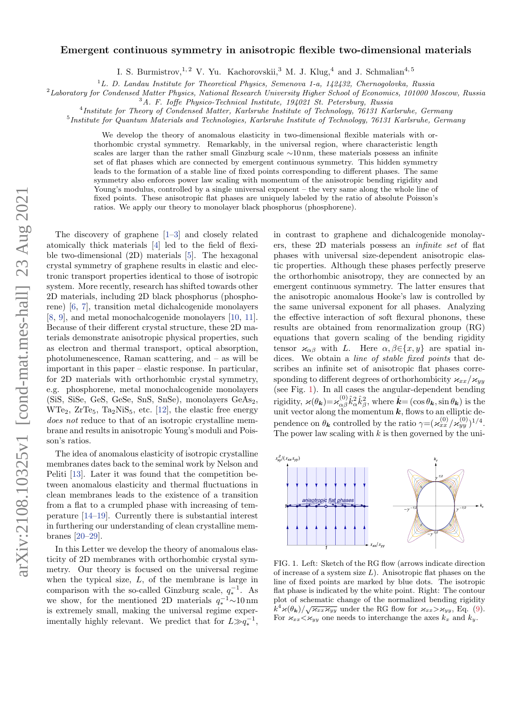#### Emergent continuous symmetry in anisotropic flexible two-dimensional materials

I. S. Burmistrov, <sup>1, 2</sup> V. Yu. Kachorovskii, <sup>3</sup> M. J. Klug, <sup>4</sup> and J. Schmalian<sup>4, 5</sup>

 $1^1$ L. D. Landau Institute for Theoretical Physics, Semenova 1-a, 142432, Chernogolovka, Russia

<sup>2</sup>Laboratory for Condensed Matter Physics, National Research University Higher School of Economics, 101000 Moscow, Russia

<sup>3</sup>A. F. Ioffe Physico-Technical Institute, 194021 St. Petersburg, Russia

<sup>4</sup>Institute for Theory of Condensed Matter, Karlsruhe Institute of Technology, 76131 Karlsruhe, Germany

<sup>5</sup>Institute for Quantum Materials and Technologies, Karlsruhe Institute of Technology, 76131 Karlsruhe, Germany

We develop the theory of anomalous elasticity in two-dimensional flexible materials with orthorhombic crystal symmetry. Remarkably, in the universal region, where characteristic length scales are larger than the rather small Ginzburg scale ∼10 nm, these materials possess an infinite set of flat phases which are connected by emergent continuous symmetry. This hidden symmetry leads to the formation of a stable line of fixed points corresponding to different phases. The same symmetry also enforces power law scaling with momentum of the anisotropic bending rigidity and Young's modulus, controlled by a single universal exponent – the very same along the whole line of fixed points. These anisotropic flat phases are uniquely labeled by the ratio of absolute Poisson's ratios. We apply our theory to monolayer black phosphorus (phosphorene).

The discovery of graphene [\[1–](#page-4-0)[3\]](#page-4-1) and closely related atomically thick materials [\[4\]](#page-4-2) led to the field of flexible two-dimensional (2D) materials [\[5\]](#page-4-3). The hexagonal crystal symmetry of graphene results in elastic and electronic transport properties identical to those of isotropic system. More recently, research has shifted towards other 2D materials, including 2D black phosphorus (phosphorene) [\[6,](#page-4-4) [7\]](#page-4-5), transition metal dichalcogenide monolayers [\[8,](#page-4-6) [9\]](#page-4-7), and metal monochalcogenide monolayers [\[10,](#page-4-8) [11\]](#page-4-9). Because of their different crystal structure, these 2D materials demonstrate anisotropic physical properties, such as electron and thermal transport, optical absorption, photolumenescence, Raman scattering, and – as will be important in this paper – elastic response. In particular, for 2D materials with orthorhombic crystal symmetry, e.g. phosphorene, metal monochalcogenide monolayers (SiS, SiSe, GeS, GeSe, SnS, SnSe), monolayers GeAs2,  $WTe_2$ ,  $ZrTe_5$ ,  $Ta_2NiS_5$ , etc. [\[12\]](#page-4-10), the elastic free energy does not reduce to that of an isotropic crystalline membrane and results in anisotropic Young's moduli and Poisson's ratios.

The idea of anomalous elasticity of isotropic crystalline membranes dates back to the seminal work by Nelson and Peliti [\[13\]](#page-4-11). Later it was found that the competition between anomalous elasticity and thermal fluctuations in clean membranes leads to the existence of a transition from a flat to a crumpled phase with increasing of temperature [\[14](#page-4-12)[–19\]](#page-4-13). Currently there is substantial interest in furthering our understanding of clean crystalline membranes [\[20](#page-4-14)[–29\]](#page-4-15).

In this Letter we develop the theory of anomalous elasticity of 2D membranes with orthorhombic crystal symmetry. Our theory is focused on the universal regime when the typical size,  $L$ , of the membrane is large in comparison with the so-called Ginzburg scale,  $q_*^{-1}$ . As ∗ we show, for the mentioned 2D materials q −1 <sup>∗</sup> ∼10 nm is extremely small, making the universal regime experimentally highly relevant. We predict that for  $L \gg q_*^{-1}$ ,

in contrast to graphene and dichalcogenide monolayers, these 2D materials possess an infinite set of flat phases with universal size-dependent anisotropic elastic properties. Although these phases perfectly preserve the orthorhombic anisotropy, they are connected by an emergent continuous symmetry. The latter ensures that the anisotropic anomalous Hooke's law is controlled by the same universal exponent for all phases. Analyzing the effective interaction of soft flexural phonons, these results are obtained from renormalization group (RG) equations that govern scaling of the bending rigidity tensor  $\varkappa_{\alpha\beta}$  with L. Here  $\alpha, \beta \in \{x, y\}$  are spatial indices. We obtain a line of stable fixed points that describes an infinite set of anisotropic flat phases corresponding to different degrees of orthorhombicity  $\varkappa_{xx}/\varkappa_{yy}$ (see Fig. [1\)](#page-0-0). In all cases the angular-dependent bending rigidity,  $\varkappa(\theta_{\boldsymbol{k}}) = \varkappa_{\alpha\beta}^{(0)}$  $\hat{k}_{\alpha\beta}^{(0)}\hat{k}_{\alpha}^{2}\hat{k}_{\beta}^{2}$ , where  $\hat{k}=(\cos\theta_{\boldsymbol{k}},\sin\theta_{\boldsymbol{k}})$  is the unit vector along the momentum  $k$ , flows to an elliptic dependence on  $\theta_k$  controlled by the ratio  $\gamma = (\varkappa_{xx}^{(0)}/\varkappa_{yy}^{(0)})^{1/4}$ . The power law scaling with  $k$  is then governed by the uni-

<span id="page-0-0"></span>

FIG. 1. Left: Sketch of the RG flow (arrows indicate direction of increase of a system size  $L$ ). Anisotropic flat phases on the line of fixed points are marked by blue dots. The isotropic flat phase is indicated by the white point. Right: The contour plot of schematic change of the normalized bending rigidity  $k^4 \varkappa(\theta_k)/\sqrt{\varkappa_{xx}\varkappa_{yy}}$  under the RG flow for  $\varkappa_{xx} > \varkappa_{yy}$ , Eq. [\(9\)](#page-2-0). For  $\varkappa_{xx}\!<\!\varkappa_{yy}$  one needs to interchange the axes  $k_x$  and  $k_y$ .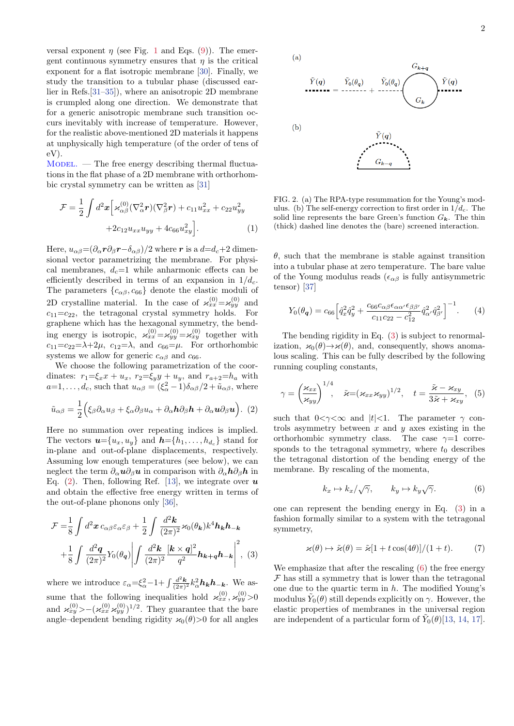versal exponent  $\eta$  (see Fig. [1](#page-0-0) and Eqs. [\(9\)](#page-2-0)). The emergent continuous symmetry ensures that  $\eta$  is the critical exponent for a flat isotropic membrane [\[30\]](#page-4-16). Finally, we study the transition to a tubular phase (discussed earlier in Refs.[\[31–](#page-4-17)[35\]](#page-5-0)), where an anisotropic 2D membrane is crumpled along one direction. We demonstrate that for a generic anisotropic membrane such transition occurs inevitably with increase of temperature. However, for the realistic above-mentioned 2D materials it happens at unphysically high temperature (of the order of tens of eV).

 $M$ ODEL. — The free energy describing thermal fluctuations in the flat phase of a 2D membrane with orthorhombic crystal symmetry can be written as [\[31\]](#page-4-17)

$$
\mathcal{F} = \frac{1}{2} \int d^2 x \left[ \varkappa_{\alpha\beta}^{(0)} (\nabla_{\alpha}^2 r) (\nabla_{\beta}^2 r) + c_{11} u_{xx}^2 + c_{22} u_{yy}^2 + 2c_{12} u_{xx} u_{yy} + 4c_{66} u_{xy}^2 \right].
$$
\n(1)

Here,  $u_{\alpha\beta} = (\partial_{\alpha} r \partial_{\beta} r - \delta_{\alpha\beta})/2$  where r is a  $d = d_c + 2$  dimensional vector parametrizing the membrane. For physical membranes,  $d_c=1$  while anharmonic effects can be efficiently described in terms of an expansion in  $1/d_c$ . The parameters  $\{c_{\alpha\beta}, c_{66}\}\$  denote the elastic moduli of 2D crystalline material. In the case of  $\varkappa_{xx}^{(0)} = \varkappa_{yy}^{(0)}$  and  $c_{11}=c_{22}$ , the tetragonal crystal symmetry holds. For graphene which has the hexagonal symmetry, the bending energy is isotropic,  $\varkappa_{xx}^{(0)} = \varkappa_{yy}^{(0)} = \varkappa_{xy}^{(0)}$  together with  $c_{11}=c_{22}=\lambda+2\mu$ ,  $c_{12}=\lambda$ , and  $c_{66}=\mu$ . For orthorhombic systems we allow for generic  $c_{\alpha\beta}$  and  $c_{66}$ .

We choose the following parametrization of the coordinates:  $r_1=\xi_x x + u_x$ ,  $r_2=\xi_y y + u_y$ , and  $r_{a+2}=h_a$  with  $a=1,\ldots,d_c$ , such that  $u_{\alpha\beta}=(\xi_{\alpha}^2-1)\delta_{\alpha\beta}/2+\tilde{u}_{\alpha\beta}$ , where

<span id="page-1-0"></span>
$$
\tilde{u}_{\alpha\beta} = \frac{1}{2} \Big( \xi_{\beta} \partial_{\alpha} u_{\beta} + \xi_{\alpha} \partial_{\beta} u_{\alpha} + \partial_{\alpha} h \partial_{\beta} h + \partial_{\alpha} u \partial_{\beta} u \Big). (2)
$$

Here no summation over repeating indices is implied. The vectors  $u = \{u_x, u_y\}$  and  $h = \{h_1, \ldots, h_{d_c}\}$  stand for in-plane and out-of-plane displacements, respectively. Assuming low enough temperatures (see below), we can neglect the term  $\partial_{\alpha}u\partial_{\beta}u$  in comparison with  $\partial_{\alpha}h\partial_{\beta}h$  in Eq. [\(2\)](#page-1-0). Then, following Ref. [\[13\]](#page-4-11), we integrate over  $\boldsymbol{u}$ and obtain the effective free energy written in terms of the out-of-plane phonons only [\[36\]](#page-5-1),

$$
\mathcal{F} = \frac{1}{8} \int d^2 \boldsymbol{x} \, c_{\alpha\beta} \varepsilon_{\alpha} \varepsilon_{\beta} + \frac{1}{2} \int \frac{d^2 \boldsymbol{k}}{(2\pi)^2} \varkappa_0(\theta_{\boldsymbol{k}}) k^4 \boldsymbol{h}_{\boldsymbol{k}} \boldsymbol{h}_{-\boldsymbol{k}}
$$

$$
+ \frac{1}{8} \int \frac{d^2 \boldsymbol{q}}{(2\pi)^2} Y_0(\theta_{\boldsymbol{q}}) \left| \int \frac{d^2 \boldsymbol{k}}{(2\pi)^2} \frac{[\boldsymbol{k} \times \boldsymbol{q}]^2}{q^2} \boldsymbol{h}_{\boldsymbol{k} + \boldsymbol{q}} \boldsymbol{h}_{-\boldsymbol{k}} \right|^2, (3)
$$

where we introduce  $\varepsilon_{\alpha} = \xi_{\alpha}^2 - 1 + \int \frac{d^2 \mathbf{k}}{(2\pi)^2} k_{\alpha}^2 \mathbf{h}_{\mathbf{k}} \mathbf{h}_{-\mathbf{k}}$ . We assume that the following inequalities hold  $\varkappa_{xx}^{(0)}$ ,  $\varkappa_{yy}^{(0)}$  >0 and  $\varkappa_{xy}^{(0)}$  >  $-(\varkappa_{xx}^{(0)} \varkappa_{yy}^{(0)})^{1/2}$ . They guarantee that the bare angle–dependent bending rigidity  $\varkappa_0(\theta) > 0$  for all angles

<span id="page-1-3"></span>

FIG. 2. (a) The RPA-type resummation for the Young's modulus. (b) The self-energy correction to first order in  $1/d_c$ . The solid line represents the bare Green's function  $G_k$ . The thin (thick) dashed line denotes the (bare) screened interaction.

 $\theta$ , such that the membrane is stable against transition into a tubular phase at zero temperature. The bare value of the Young modulus reads ( $\epsilon_{\alpha\beta}$  is fully antisymmetric tensor) [\[37\]](#page-5-2)

$$
Y_0(\theta_q) = c_{66} \left[ \hat{q}_x^2 \hat{q}_y^2 + \frac{c_{66} c_{\alpha\beta} \epsilon_{\alpha\alpha'} \epsilon_{\beta\beta'}}{c_{11} c_{22} - c_{12}^2} \hat{q}_{\alpha'}^2 \hat{q}_{\beta'}^2 \right]^{-1}.
$$
 (4)

The bending rigidity in Eq. [\(3\)](#page-1-1) is subject to renormalization,  $\varkappa_0(\theta) \rightarrow \varkappa(\theta)$ , and, consequently, shows anomalous scaling. This can be fully described by the following running coupling constants,

$$
\gamma = \left(\frac{\varkappa_{xx}}{\varkappa_{yy}}\right)^{1/4}, \quad \tilde{\varkappa} = (\varkappa_{xx}\varkappa_{yy})^{1/2}, \quad t = \frac{\tilde{\varkappa} - \varkappa_{xy}}{3\tilde{\varkappa} + \varkappa_{xy}}, \quad (5)
$$

such that  $0 < \gamma < \infty$  and  $|t| < 1$ . The parameter  $\gamma$  controls asymmetry between x and y axes existing in the orthorhombic symmetry class. The case  $\gamma=1$  correorthorhombic symmetry class. sponds to the tetragonal symmetry, where  $t_0$  describes the tetragonal distortion of the bending energy of the membrane. By rescaling of the momenta,

<span id="page-1-2"></span>
$$
k_x \mapsto k_x/\sqrt{\gamma}, \qquad k_y \mapsto k_y\sqrt{\gamma}.\tag{6}
$$

one can represent the bending energy in Eq. [\(3\)](#page-1-1) in a fashion formally similar to a system with the tetragonal symmetry,

$$
\varkappa(\theta) \mapsto \tilde{\varkappa}(\theta) = \tilde{\varkappa}[1 + t\cos(4\theta)]/(1 + t). \tag{7}
$$

<span id="page-1-1"></span>We emphasize that after the rescaling [\(6\)](#page-1-2) the free energy  $\mathcal F$  has still a symmetry that is lower than the tetragonal one due to the quartic term in  $h$ . The modified Young's modulus  $\tilde{Y}_0(\theta)$  still depends explicitly on  $\gamma$ . However, the elastic properties of membranes in the universal region are independent of a particular form of  $\tilde{Y}_0(\theta)$ [\[13,](#page-4-11) [14,](#page-4-12) [17\]](#page-4-18).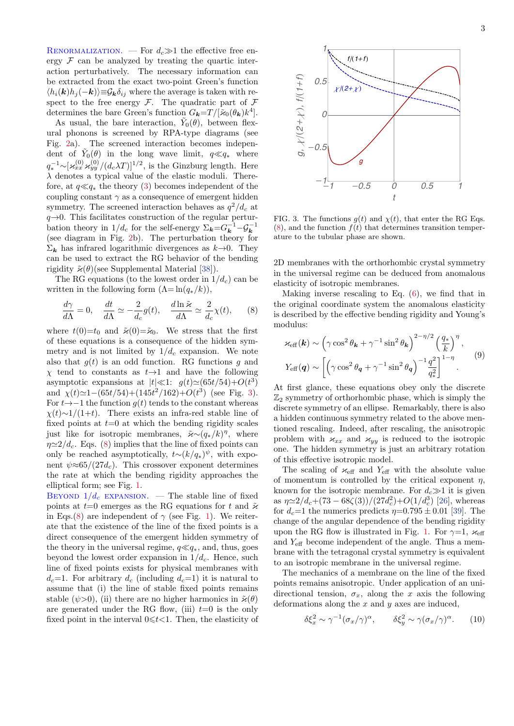RENORMALIZATION. — For  $d_c \gg 1$  the effective free energy  $\mathcal F$  can be analyzed by treating the quartic interaction perturbatively. The necessary information can be extracted from the exact two-point Green's function  $\langle h_i(\mathbf{k})h_j(-\mathbf{k})\rangle \equiv \mathcal{G}_{\mathbf{k}}\delta_{ij}$  where the average is taken with respect to the free energy  $\mathcal{F}$ . The quadratic part of  $\mathcal{F}$ determines the bare Green's function  $G_{\mathbf{k}}=T/[\tilde{\varkappa}_0(\theta_{\mathbf{k}})k^4]$ .

As usual, the bare interaction,  $\tilde{Y}_0(\theta)$ , between flexural phonons is screened by RPA-type diagrams (see Fig. [2a](#page-1-3)). The screened interaction becomes independent of  $\tilde{Y}_0(\theta)$  in the long wave limit,  $q \ll q_*$  where  $q_*^{-1} \sim [\varkappa_{xx}^{(0)} \varkappa_{yy}^{(0)}/(d_c\lambda T)]^{1/2}$ , is the Ginzburg length. Here  $\lambda$  denotes a typical value of the elastic moduli. Therefore, at  $q \ll q_*$  the theory [\(3\)](#page-1-1) becomes independent of the coupling constant  $\gamma$  as a consequence of emergent hidden symmetry. The screened interaction behaves as  $q^2/d_c$  at  $q\rightarrow 0$ . This facilitates construction of the regular perturbation theory in  $1/d_c$  for the self-energy  $\Sigma_{\mathbf{k}} = G_{\mathbf{k}}^{-1} - \mathcal{G}_{\mathbf{k}}^{-1}$ (see diagram in Fig. [2b](#page-1-3)). The perturbation theory for  $\Sigma_k$  has infrared logarithmic divergences as  $k\rightarrow 0$ . They can be used to extract the RG behavior of the bending rigidity  $\tilde{\varkappa}(\theta)$ (see Supplemental Material [\[38\]](#page-5-3)).

The RG equations (to the lowest order in  $1/d_c$ ) can be written in the following form  $(\Lambda = \ln(q_*/k)),$ 

<span id="page-2-2"></span>
$$
\frac{d\gamma}{d\Lambda} = 0, \quad \frac{dt}{d\Lambda} \simeq -\frac{2}{d_c}g(t), \quad \frac{d\ln\tilde{\varkappa}}{d\Lambda} \simeq \frac{2}{d_c}\chi(t), \quad (8)
$$

where  $t(0)=t_0$  and  $\tilde{\varkappa}(0)=\tilde{\varkappa}_0$ . We stress that the first of these equations is a consequence of the hidden symmetry and is not limited by  $1/d_c$  expansion. We note also that  $q(t)$  is an odd function. RG functions g and  $\chi$  tend to constants as  $t\rightarrow 1$  and have the following asymptotic expansions at  $|t| \ll 1$ :  $g(t) \simeq (65t/54) + O(t^3)$ and  $\chi(t) \approx 1 - (65t/54) + (145t^2/162) + O(t^3)$  $\chi(t) \approx 1 - (65t/54) + (145t^2/162) + O(t^3)$  (see Fig. 3). For  $t \rightarrow -1$  the function  $g(t)$  tends to the constant whereas  $\chi(t) \sim 1/(1+t)$ . There exists an infra-red stable line of fixed points at  $t=0$  at which the bending rigidity scales just like for isotropic membranes,  $\tilde{\varkappa} \sim (q_*/k)^{\eta}$ , where  $\eta \simeq 2/d_c$ . Eqs. [\(8\)](#page-2-2) implies that the line of fixed points can only be reached asymptotically,  $t \sim (k/q_*)^{\psi}$ , with exponent  $\psi \approx 65/(27d_c)$ . This crossover exponent determines the rate at which the bending rigidity approaches the elliptical form; see Fig. [1.](#page-0-0)

BEYOND  $1/d_c$  EXPANSION. — The stable line of fixed points at  $t=0$  emerges as the RG equations for t and  $\tilde{\varkappa}$ in Eqs.[\(8\)](#page-2-2) are independent of  $\gamma$  (see Fig. [1\)](#page-0-0). We reiterate that the existence of the line of the fixed points is a direct consequence of the emergent hidden symmetry of the theory in the universal regime,  $q \ll q_*$ , and, thus, goes beyond the lowest order expansion in  $1/d_c$ . Hence, such line of fixed points exists for physical membranes with  $d_c=1$ . For arbitrary  $d_c$  (including  $d_c=1$ ) it is natural to assume that (i) the line of stable fixed points remains stable ( $\psi$ >0), (ii) there are no higher harmonics in  $\tilde{\varkappa}(\theta)$ are generated under the RG flow, (iii)  $t=0$  is the only fixed point in the interval  $0 \leq t < 1$ . Then, the elasticity of

<span id="page-2-1"></span>

FIG. 3. The functions  $g(t)$  and  $\chi(t)$ , that enter the RG Eqs.  $(8)$ , and the function  $f(t)$  that determines transition temperature to the tubular phase are shown.

2D membranes with the orthorhombic crystal symmetry in the universal regime can be deduced from anomalous elasticity of isotropic membranes.

Making inverse rescaling to Eq.  $(6)$ , we find that in the original coordinate system the anomalous elasticity is described by the effective bending rigidity and Young's modulus:

<span id="page-2-0"></span>
$$
\varkappa_{\text{eff}}(\boldsymbol{k}) \sim \left(\gamma \cos^2 \theta_{\boldsymbol{k}} + \gamma^{-1} \sin^2 \theta_{\boldsymbol{k}}\right)^{2-\eta/2} \left(\frac{q_*}{k}\right)^{\eta},
$$
  

$$
Y_{\text{eff}}(\boldsymbol{q}) \sim \left[\left(\gamma \cos^2 \theta_{\boldsymbol{q}} + \gamma^{-1} \sin^2 \theta_{\boldsymbol{q}}\right)^{-1} \frac{q^2}{q_*^2}\right]^{1-\eta}.
$$
 (9)

At first glance, these equations obey only the discrete  $\mathbb{Z}_2$  symmetry of orthorhombic phase, which is simply the discrete symmetry of an ellipse. Remarkably, there is also a hidden continuous symmetry related to the above mentioned rescaling. Indeed, after rescaling, the anisotropic problem with  $\varkappa_{xx}$  and  $\varkappa_{yy}$  is reduced to the isotropic one. The hidden symmetry is just an arbitrary rotation of this effective isotropic model.

The scaling of  $\varkappa_{\text{eff}}$  and  $Y_{\text{eff}}$  with the absolute value of momentum is controlled by the critical exponent  $\eta$ , known for the isotropic membrane. For  $d_c \gg 1$  it is given as  $\eta \approx 2/d_c + (73 - 68\zeta(3))/(27d_c^2) + O(1/d_c^3)$  [\[26\]](#page-4-19), whereas for  $d_c=1$  the numerics predicts  $\eta=0.795\pm0.01$  [\[39\]](#page-5-4). The change of the angular dependence of the bending rigidity upon the RG flow is illustrated in Fig. [1.](#page-0-0) For  $\gamma=1$ ,  $\varkappa_{\text{eff}}$ and  $Y_{\text{eff}}$  become independent of the angle. Thus a membrane with the tetragonal crystal symmetry is equivalent to an isotropic membrane in the universal regime.

The mechanics of a membrane on the line of the fixed points remains anisotropic. Under application of an unidirectional tension,  $\sigma_x$ , along the x axis the following deformations along the  $x$  and  $y$  axes are induced,

<span id="page-2-3"></span>
$$
\delta \xi_x^2 \sim \gamma^{-1} (\sigma_x/\gamma)^\alpha, \qquad \delta \xi_y^2 \sim \gamma (\sigma_x/\gamma)^\alpha. \tag{10}
$$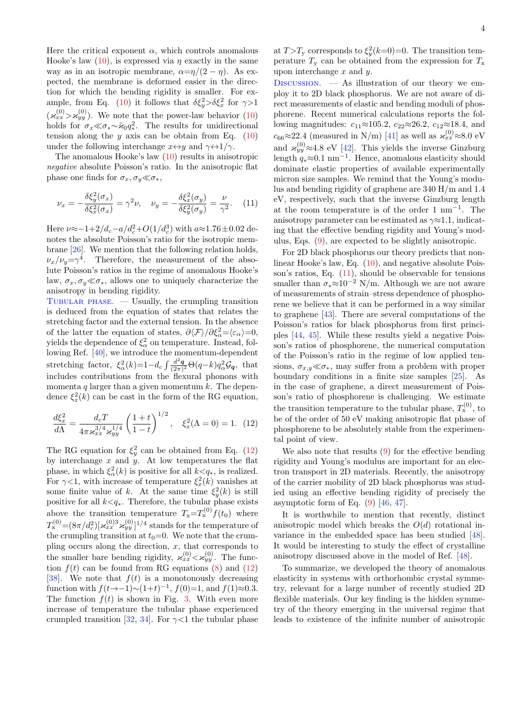Here the critical exponent  $\alpha$ , which controls anomalous Hooke's law [\(10\)](#page-2-3), is expressed via  $\eta$  exactly in the same way as in an isotropic membrane,  $\alpha = \eta/(2 - \eta)$ . As expected, the membrane is deformed easier in the direction for which the bending rigidity is smaller. For ex-ample, from Eq. [\(10\)](#page-2-3) it follows that  $\delta \xi_y^2 > \delta \xi_x^2$  for  $\gamma > 1$  $(\varkappa_{xx}^{(0)} > \varkappa_{yy}^{(0)})$ . We note that the power-law behavior [\(10\)](#page-2-3) holds for  $\sigma_x \ll \sigma_* \sim \tilde{\varkappa}_0 q_*^2$ <sup>2</sup>. The results for unidirectional tension along the  $y$  axis can be obtain from Eq.  $(10)$ under the following interchange  $x \leftrightarrow y$  and  $\gamma \leftrightarrow 1/\gamma$ .

The anomalous Hooke's law [\(10\)](#page-2-3) results in anisotropic negative absolute Poisson's ratio. In the anisotropic flat phase one finds for  $\sigma_x, \sigma_y \ll \sigma_*$ ,

<span id="page-3-1"></span>
$$
\nu_x = -\frac{\delta \xi_y^2(\sigma_x)}{\delta \xi_x^2(\sigma_x)} = \gamma^2 \nu, \quad \nu_y = -\frac{\delta \xi_x^2(\sigma_y)}{\delta \xi_y^2(\sigma_y)} = \frac{\nu}{\gamma^2}.
$$
 (11)

Here  $\nu \approx -1 + 2/d_c - a/d_c^2 + O(1/d_c^3)$  with  $a \approx 1.76 \pm 0.02$  denotes the absolute Poisson's ratio for the isotropic membrane [\[26\]](#page-4-19). We mention that the following relation holds,  $\nu_x/\nu_y = \gamma^4$ . Therefore, the measurement of the absolute Poisson's ratios in the regime of anomalous Hooke's law,  $\sigma_x, \sigma_y \ll \sigma_{\ast}$ , allows one to uniquely characterize the anisotropy in bending rigidity.

TUBULAR PHASE.  $-$  Usually, the crumpling transition is deduced from the equation of states that relates the stretching factor and the external tension. In the absence of the latter the equation of states,  $\partial \langle \mathcal{F} \rangle / \partial \xi_{\alpha}^{2} = \langle \varepsilon_{\alpha} \rangle = 0$ , yields the dependence of  $\xi_{\alpha}^2$  on temperature. Instead, following Ref. [\[40\]](#page-5-5), we introduce the momentum-dependent stretching factor,  $\xi_{\alpha}^{2}(k)=1-d_{c}\int \frac{d^{2}q}{(2\pi)^{2}}\Theta(q-k)q_{\alpha}^{2}\mathcal{G}_{q}$ , that includes contributions from the flexural phonons with momenta q larger than a given momentum  $k$ . The dependence  $\xi_x^2(k)$  can be cast in the form of the RG equation,

<span id="page-3-0"></span>
$$
\frac{d\xi_x^2}{d\Lambda} = \frac{d_c T}{4\pi \varkappa_{xx}^{3/4} \varkappa_{yy}^{1/4}} \left(\frac{1+t}{1-t}\right)^{1/2}, \quad \xi_x^2(\Lambda = 0) = 1. \tag{12}
$$

The RG equation for  $\xi_y^2$  can be obtained from Eq. [\(12\)](#page-3-0) by interchange  $x$  and  $y$ . At low temperatures the flat phase, in which  $\xi_{\alpha}^{2}(k)$  is positive for all  $k \leq q_{*}$ , is realized. For  $\gamma$ <1, with increase of temperature  $\xi_x^2(k)$  vanishes at some finite value of k. At the same time  $\xi_y^2(k)$  is still positive for all  $k < q_*$ . Therefore, the tubular phase exists above the transition temperature  $T_{\rm x} = T_{\rm x}^{(0)} f(t_0)$  where  $T_{\rm x}^{(0)}$  =  $(8\pi/d_c^2)[\varkappa_{xx}^{(0)3}\varkappa_{yy}^{(0)}]^{1/4}$  stands for the temperature of the crumpling transition at  $t_0=0$ . We note that the crumpling occurs along the direction,  $x$ , that corresponds to the smaller bare bending rigidity,  $\varkappa_{xx}^{(0)} < \varkappa_{yy}^{(0)}$ . The function  $f(t)$  can be found from RG equations [\(8\)](#page-2-2) and [\(12\)](#page-3-0) [\[38\]](#page-5-3). We note that  $f(t)$  is a monotonously decreasing function with  $f(t\to-1) \sim (1+t)^{-1}$ ,  $f(0)=1$ , and  $f(1)\approx 0.3$ . The function  $f(t)$  is shown in Fig. [3.](#page-2-1) With even more increase of temperature the tubular phase experienced crumpled transition [\[32,](#page-5-6) [34\]](#page-5-7). For  $\gamma$ <1 the tubular phase

at  $T>T_y$  corresponds to  $\xi_y^2(k=0)=0$ . The transition temperature  $T_{\rm y}$  can be obtained from the expression for  $T_{\rm x}$ upon interchange  $x$  and  $y$ .

DISCUSSION.  $\overline{\phantom{a}}$  As illustration of our theory we employ it to 2D black phosphorus. We are not aware of direct measurements of elastic and bending moduli of phosphorene. Recent numerical calculations reports the following magnitudes:  $c_{11} \approx 105.2$ ,  $c_{22} \approx 26.2$ ,  $c_{12} \approx 18.4$ , and  $c_{66} \approx 22.4$  (measured in N/m) [\[41\]](#page-5-8) as well as  $\varkappa_{xx}^{(0)} \approx 8.0 \text{ eV}$ and  $\varkappa_{yy}^{(0)} \approx 4.8 \text{ eV}$  [\[42\]](#page-5-9). This yields the inverse Ginzburg length  $q_* \approx 0.1 \text{ nm}^{-1}$ . Hence, anomalous elasticity should dominate elastic properties of available experimentally micron size samples. We remind that the Young's modulus and bending rigidity of graphene are 340 H/m and 1.4 eV, respectively, such that the inverse Ginzburg length at the room temperature is of the order 1  $\text{nm}^{-1}$ . The anisotropy parameter can be estimated as  $\gamma \approx 1.1$ , indicating that the effective bending rigidity and Young's modulus, Eqs. [\(9\)](#page-2-0), are expected to be slightly anisotropic.

For 2D black phosphorus our theory predicts that nonlinear Hooke's law, Eq. [\(10\)](#page-2-3), and negative absolute Poisson's ratios, Eq. [\(11\)](#page-3-1), should be observable for tensions smaller than  $\sigma_* \approx 10^{-2}$  N/m. Although we are not aware of measurements of strain–stress dependence of phosphorene we believe that it can be performed in a way similar to graphene [\[43\]](#page-5-10). There are several computations of the Poisson's ratios for black phosphorus from first principles [\[44,](#page-5-11) [45\]](#page-5-12). While these results yield a negative Poisson's ratios of phosphorene, the numerical computation of the Poisson's ratio in the regime of low applied tensions,  $\sigma_{x,y} \ll \sigma_{\ast}$ , may suffer from a problem with proper boundary conditions in a finite size samples [\[25\]](#page-4-20). As in the case of graphene, a direct measurement of Poisson's ratio of phosphorene is challenging. We estimate the transition temperature to the tubular phase,  $T_{\rm x}^{(0)}$ , to be of the order of 50 eV making anisotropic flat phase of phosphorene to be absolutely stable from the experimental point of view.

We also note that results [\(9\)](#page-2-0) for the effective bending rigidity and Young's modulus are important for an electron transport in 2D materials. Recently, the anisotropy of the carrier mobility of 2D black phosphorus was studied using an effective bending rigidity of precisely the asymptotic form of Eq. [\(9\)](#page-2-0) [\[46,](#page-5-13) [47\]](#page-5-14).

It is worthwhile to mention that recently, distinct anisotropic model which breaks the  $O(d)$  rotational invariance in the embedded space has been studied [\[48\]](#page-5-15). It would be interesting to study the effect of crystalline anisotropy discussed above in the model of Ref. [\[48\]](#page-5-15).

To summarize, we developed the theory of anomalous elasticity in systems with orthorhombic crystal symmetry, relevant for a large number of recently studied 2D flexible materials. Our key finding is the hidden symmetry of the theory emerging in the universal regime that leads to existence of the infinite number of anisotropic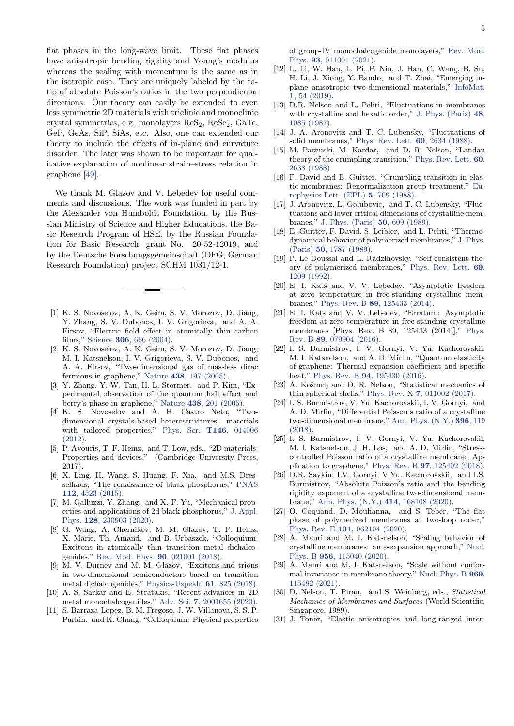flat phases in the long-wave limit. These flat phases have anisotropic bending rigidity and Young's modulus whereas the scaling with momentum is the same as in the isotropic case. They are uniquely labeled by the ratio of absolute Poisson's ratios in the two perpendicular directions. Our theory can easily be extended to even less symmetric 2D materials with triclinic and monoclinic crystal symmetries, e.g. monolayers  $\text{ReS}_2$ ,  $\text{ReSe}_2$ ,  $\text{GaTe}$ , GeP, GeAs, SiP, SiAs, etc. Also, one can extended our theory to include the effects of in-plane and curvature disorder. The later was shown to be important for qualitative explanation of nonlinear strain–stress relation in graphene [\[49\]](#page-5-16).

We thank M. Glazov and V. Lebedev for useful comments and discussions. The work was funded in part by the Alexander von Humboldt Foundation, by the Russian Ministry of Science and Higher Educations, the Basic Research Program of HSE, by the Russian Foundation for Basic Research, grant No. 20-52-12019, and by the Deutsche Forschungsgemeinschaft (DFG, German Research Foundation) project SCHM 1031/12-1.

- <span id="page-4-0"></span>[1] K. S. Novoselov, A. K. Geim, S. V. Morozov, D. Jiang, Y. Zhang, S. V. Dubonos, I. V. Grigorieva, and A. A. Firsov, "Electric field effect in atomically thin carbon films," Science 306[, 666 \(2004\).](https://doi.org/10.1126/science.1102896)
- [2] K. S. Novoselov, A. K. Geim, S. V. Morozov, D. Jiang, M. I. Katsnelson, I. V. Grigorieva, S. V. Dubonos, and A. A. Firsov, "Two-dimensional gas of massless dirac fermions in graphene," Nature 438[, 197 \(2005\).](http://dx.doi.org/10.1038/nature04233)
- <span id="page-4-1"></span>[3] Y. Zhang, Y.-W. Tan, H. L. Stormer, and P. Kim, "Experimental observation of the quantum hall effect and berry's phase in graphene," Nature 438[, 201 \(2005\).](http://dx.doi.org/ 10.1038/nature04235)
- <span id="page-4-2"></span>[4] K. S. Novoselov and A. H. Castro Neto, "Twodimensional crystals-based heterostructures: materials with tailored properties," [Phys. Scr.](http://dx.doi.org/10.1088/0031-8949/2012/t146/014006) T146, 014006  $(2012)$ .
- <span id="page-4-3"></span>[5] P. Avouris, T. F. Heinz, and T. Low, eds., "2D materials: Properties and devices," (Cambridge University Press, 2017).
- <span id="page-4-4"></span>[6] X. Ling, H. Wang, S. Huang, F. Xia, and M.S. Dresselhaus, "The renaissance of black phosphorus," [PNAS](https://doi.org/10.1073/pnas.1416581112) 112[, 4523 \(2015\).](https://doi.org/10.1073/pnas.1416581112)
- <span id="page-4-5"></span>[7] M. Galluzzi, Y. Zhang, and X.-F. Yu, "Mechanical properties and applications of 2d black phosphorus," [J. Appl.](http://dx.doi.org/10.1063/5.0034893) Phys. 128[, 230903 \(2020\).](http://dx.doi.org/10.1063/5.0034893)
- <span id="page-4-6"></span>[8] G. Wang, A. Chernikov, M. M. Glazov, T. F. Heinz, X. Marie, Th. Amand, and B. Urbaszek, "Colloquium: Excitons in atomically thin transition metal dichalcogenides," [Rev. Mod. Phys.](http://dx.doi.org/10.1103/RevModPhys.90.021001) 90, 021001 (2018).
- <span id="page-4-7"></span>[9] M. V. Durnev and M. M. Glazov, "Excitons and trions in two-dimensional semiconductors based on transition metal dichalcogenides," [Physics-Uspekhi](http://dx.doi.org/10.3367/ufne.2017.07.038172) 61, 825 (2018).
- <span id="page-4-8"></span>[10] A. S. Sarkar and E. Stratakis, "Recent advances in 2D metal monochalcogenides," Adv. Sci. 7[, 2001655 \(2020\).](https://doi.org/10.1002/advs.202001655)
- <span id="page-4-9"></span>[11] S. Barraza-Lopez, B. M. Fregoso, J. W. Villanova, S. S. P. Parkin, and K. Chang, "Colloquium: Physical properties

of group-IV monochalcogenide monolayers," [Rev. Mod.](http://dx.doi.org/10.1103/RevModPhys.93.011001) Phys. 93[, 011001 \(2021\).](http://dx.doi.org/10.1103/RevModPhys.93.011001)

- <span id="page-4-10"></span>[12] L. Li, W. Han, L. Pi, P. Niu, J. Han, C. Wang, B. Su, H. Li, J. Xiong, Y. Bando, and T. Zhai, "Emerging inplane anisotropic two-dimensional materials," [InfoMat.](https://doi.org/10.1002/inf2.12005) 1[, 54 \(2019\).](https://doi.org/10.1002/inf2.12005)
- <span id="page-4-11"></span>[13] D.R. Nelson and L. Peliti, "Fluctuations in membranes with crystalline and hexatic order," [J. Phys. \(Paris\)](http://dx.doi.org/ 10.1051/jphys:019870048070108500) 48, [1085 \(1987\).](http://dx.doi.org/ 10.1051/jphys:019870048070108500)
- <span id="page-4-12"></span>[14] J. A. Aronovitz and T. C. Lubensky, "Fluctuations of solid membranes," [Phys. Rev. Lett.](http://dx.doi.org/10.1103/PhysRevLett.60.2634) 60, 2634 (1988).
- [15] M. Paczuski, M. Kardar, and D. R. Nelson, "Landau theory of the crumpling transition," [Phys. Rev. Lett.](http://dx.doi.org/10.1103/PhysRevLett.60.2638) 60, [2638 \(1988\).](http://dx.doi.org/10.1103/PhysRevLett.60.2638)
- [16] F. David and E. Guitter, "Crumpling transition in elastic membranes: Renormalization group treatment," [Eu](http://dx.doi.org/10.1209/0295-5075/5/8/008)[rophysics Lett. \(EPL\)](http://dx.doi.org/10.1209/0295-5075/5/8/008) 5, 709 (1988).
- <span id="page-4-18"></span>[17] J. Aronovitz, L. Golubovic, and T. C. Lubensky, "Fluctuations and lower critical dimensions of crystalline membranes," [J. Phys. \(Paris\)](http://dx.doi.org/ 10.1051/jphys:01989005006060900) 50, 609 (1989).
- [18] E. Guitter, F. David, S. Leibler, and L. Peliti, "Thermodynamical behavior of polymerized membranes," [J. Phys.](http://dx.doi.org/10.1051/jphys:0198900500140178700) (Paris) 50[, 1787 \(1989\).](http://dx.doi.org/10.1051/jphys:0198900500140178700)
- <span id="page-4-13"></span>[19] P. Le Doussal and L. Radzihovsky, "Self-consistent theory of polymerized membranes," [Phys. Rev. Lett.](http://dx.doi.org/ 10.1103/PhysRevLett.69.1209) 69, [1209 \(1992\).](http://dx.doi.org/ 10.1103/PhysRevLett.69.1209)
- <span id="page-4-14"></span>[20] E. I. Kats and V. V. Lebedev, "Asymptotic freedom at zero temperature in free-standing crystalline membranes," Phys. Rev. B 89[, 125433 \(2014\).](https://doi.org/10.1103/PhysRevB.89.125433)
- [21] E. I. Kats and V. V. Lebedev, "Erratum: Asymptotic freedom at zero temperature in free-standing crystalline membranes [Phys. Rev. B 89, 125433 (2014)]," [Phys.](https://doi.org/10.1103/PhysRevB.94.079904) Rev. B 89[, 079904 \(2016\).](https://doi.org/10.1103/PhysRevB.94.079904)
- [22] I. S. Burmistrov, I. V. Gornyi, V. Yu. Kachorovskii, M. I. Katsnelson, and A. D. Mirlin, "Quantum elasticity of graphene: Thermal expansion coefficient and specific heat." Phys. Rev. B **94**[, 195430 \(2016\).](http://dx.doi.org/10.1103/PhysRevB.94.195430)
- [23] A. Košmrlj and D. R. Nelson, "Statistical mechanics of thin spherical shells," Phys. Rev. X 7[, 011002 \(2017\).](http://dx.doi.org/ 10.1103/PhysRevX.7.011002)
- [24] I. S. Burmistrov, V. Yu. Kachorovskii, I. V. Gornyi, and A. D. Mirlin, "Differential Poisson's ratio of a crystalline two-dimensional membrane," [Ann. Phys. \(N.Y.\)](http://dx.doi.org/https://doi.org/10.1016/j.aop.2018.07.009) 396, 119 [\(2018\).](http://dx.doi.org/https://doi.org/10.1016/j.aop.2018.07.009)
- <span id="page-4-20"></span>[25] I. S. Burmistrov, I. V. Gornyi, V. Yu. Kachorovskii, M. I. Katsnelson, J. H. Los, and A. D. Mirlin, "Stresscontrolled Poisson ratio of a crystalline membrane: Application to graphene," Phys. Rev. B 97[, 125402 \(2018\).](http://dx.doi.org/ 10.1103/PhysRevB.97.125402)
- <span id="page-4-19"></span>[26] D.R. Saykin, I.V. Gornyi, V.Yu. Kachorovskii, and I.S. Burmistrov, "Absolute Poisson's ratio and the bending rigidity exponent of a crystalline two-dimensional membrane," [Ann. Phys. \(N.Y.\)](http://dx.doi.org/https://doi.org/10.1016/j.aop.2020.168108) 414, 168108 (2020).
- [27] O. Coquand, D. Mouhanna, and S. Teber, "The flat phase of polymerized membranes at two-loop order," Phys. Rev. E 101[, 062104 \(2020\).](https://doi.org/10.1103/PhysRevE.101.062104)
- [28] A. Mauri and M. I. Katsnelson, "Scaling behavior of crystalline membranes: an  $\varepsilon$ -expansion approach," [Nucl.](https://doi.org/10.1016/j.nuclphysb.2020.115040) Phys. B 956[, 115040 \(2020\).](https://doi.org/10.1016/j.nuclphysb.2020.115040)
- <span id="page-4-15"></span>[29] A. Mauri and M. I. Katsnelson, "Scale without conformal invariance in membrane theory," [Nucl. Phys. B](https://doi.org/10.1016/j.nuclphysb.2021.115482) 969, [115482 \(2021\).](https://doi.org/10.1016/j.nuclphysb.2021.115482)
- <span id="page-4-16"></span>[30] D. Nelson, T. Piran, and S. Weinberg, eds., Statistical Mechanics of Membranes and Surfaces (World Scientific, Singapore, 1989).
- <span id="page-4-17"></span>[31] J. Toner, "Elastic anisotropies and long-ranged inter-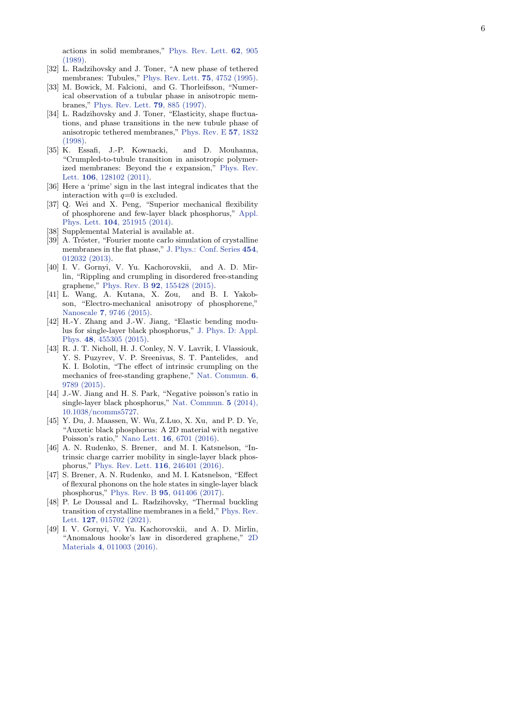actions in solid membranes," [Phys. Rev. Lett.](https://doi.org/10.1103/PhysRevLett.62.905) 62, 905 [\(1989\)](https://doi.org/10.1103/PhysRevLett.62.905) .

- <span id="page-5-6"></span>[32] L. Radzihovsky and J. Toner, "A new phase of tethered membranes: Tubules," [Phys. Rev. Lett.](http://dx.doi.org/ 10.1103/PhysRevLett.75.4752) 75, 4752 (1995) .
- [33] M. Bowick, M. Falcioni, and G. Thorleifsson, "Numerical observation of a tubular phase in anisotropic membranes," [Phys. Rev. Lett.](http://dx.doi.org/ 10.1103/PhysRevLett.79.885) 79, 885 (1997).
- <span id="page-5-7"></span>[34] L. Radzihovsky and J. Toner, "Elasticity, shape fluctuations, and phase transitions in the new tubule phase of anisotropic tethered membranes," [Phys. Rev. E](http://dx.doi.org/10.1103/PhysRevE.57.1832) 57, 1832 [\(1998\)](http://dx.doi.org/10.1103/PhysRevE.57.1832) .
- <span id="page-5-0"></span>[35] K. Essafi, J.-P. Kownacki, and D. Mouhanna, "Crumpled-to-tubule transition in anisotropic polymerized membranes: Beyond the  $\epsilon$  expansion," [Phys. Rev.](https://doi.org/10.1103/PhysRevLett.106.128102) Lett. **106**[, 128102 \(2011\)](https://doi.org/10.1103/PhysRevLett.106.128102).
- <span id="page-5-1"></span>[36] Here a 'prime' sign in the last integral indicates that the interaction with  $q=0$  is excluded.
- <span id="page-5-2"></span>[37] Q. Wei and X. Peng, "Superior mechanical flexibility of phosphorene and few-layer black phosphorus," [Appl.](https://doi.org/10.1063/1.4885215) Phys. Lett. **104**[, 251915 \(2014\)](https://doi.org/10.1063/1.4885215).
- <span id="page-5-3"></span>[38] Supplemental Material is available at.
- <span id="page-5-4"></span>[39] A. Tröster, "Fourier monte carlo simulation of crystalline membranes in the flat phase," [J. Phys.: Conf. Series](http://dx.doi.org/10.1088/1742-6596/454/1/012032) 454, [012032 \(2013\)](http://dx.doi.org/10.1088/1742-6596/454/1/012032) .
- <span id="page-5-5"></span>[40] I. V. Gornyi, V. Yu. Kachorovskii, and A. D. Mirlin, "Rippling and crumpling in disordered free-standing graphene," Phys. Rev. B 92[, 155428 \(2015\)](http://dx.doi.org/10.1103/PhysRevB.92.155428) .
- <span id="page-5-8"></span>[41] L. Wang, A. Kutana, X. Zou, and B. I. Yakobson, "Electro-mechanical anisotropy of phosphorene," Nanoscale 7[, 9746 \(2015\)](http://dx.doi.org/10.1039/c5nr00355e) .
- <span id="page-5-9"></span>[42] H.-Y. Zhang and J.-W. Jiang, "Elastic bending modulus for single-layer black phosphorus," [J. Phys. D: Appl.](http://dx.doi.org/ 10.1088/0022-3727/48/45/455305) Phys. 48[, 455305 \(2015\)](http://dx.doi.org/ 10.1088/0022-3727/48/45/455305) .
- <span id="page-5-10"></span>[43] R. J. T. Nicholl, H. J. Conley, N. V. Lavrik, I. Vlassiouk, Y. S. Puzyrev, V. P. Sreenivas, S. T. Pantelides, and K. I. Bolotin, "The effect of intrinsic crumpling on the mechanics of free-standing graphene," [Nat. Commun.](http://dx.doi.org/10.1038/ncomms9789) 6 , [9789 \(2015\)](http://dx.doi.org/10.1038/ncomms9789) .
- <span id="page-5-11"></span>[44] J.-W. Jiang and H. S. Park, "Negative poisson's ratio in single-layer black phosphorus," [Nat. Commun.](http://dx.doi.org/ 10.1038/ncomms5727) 5 (2014), [10.1038/ncomms5727](http://dx.doi.org/ 10.1038/ncomms5727) .
- <span id="page-5-12"></span>[45] Y. Du, J. Maassen, W. Wu, Z.Luo, X. Xu, and P. D. Ye, "Auxetic black phosphorus: A 2D material with negative Poisson's ratio," Nano Lett. **16**[, 6701 \(2016\)](http://dx.doi.org/ 10.1021/acs.nanolett.6b03607).
- <span id="page-5-13"></span>[46] A. N. Rudenko, S. Brener, and M. I. Katsnelson, "Intrinsic charge carrier mobility in single-layer black phosphorus," [Phys. Rev. Lett.](http://dx.doi.org/ 10.1103/PhysRevLett.116.246401) 116, 246401 (2016).
- <span id="page-5-14"></span>[47] S. Brener, A. N. Rudenko, and M. I. Katsnelson, "Effect of flexural phonons on the hole states in single-layer black phosphorus," Phys. Rev. B 95[, 041406 \(2017\)](http://dx.doi.org/ 10.1103/PhysRevB.95.041406) .
- <span id="page-5-15"></span>[48] P. Le Doussal and L. Radzihovsky, "Thermal buckling transition of crystalline membranes in a field," [Phys. Rev.](http://dx.doi.org/ 10.1103/PhysRevLett.127.015702) Lett. **127**[, 015702 \(2021\)](http://dx.doi.org/ 10.1103/PhysRevLett.127.015702).
- <span id="page-5-16"></span>[49] I. V. Gornyi, V. Yu. Kachorovskii, and A. D. Mirlin, "Anomalous hooke's law in disordered graphene," [2D](http://dx.doi.org/ 10.1088/2053-1583/4/1/011003) Materials 4[, 011003 \(2016\)](http://dx.doi.org/ 10.1088/2053-1583/4/1/011003) .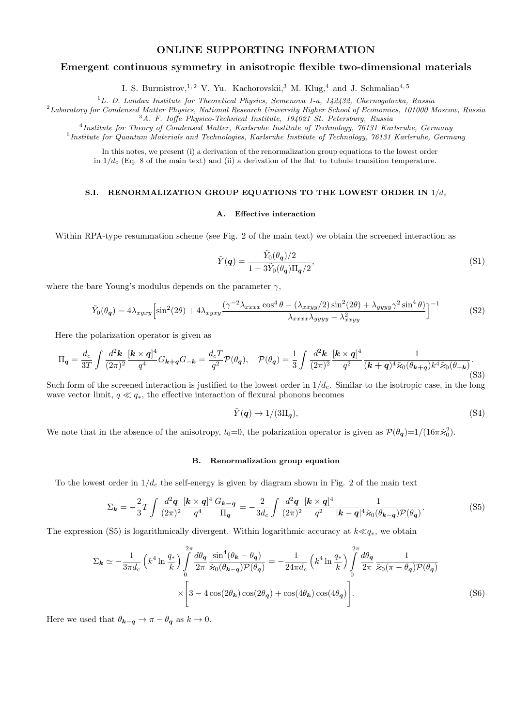# ONLINE SUPPORTING INFORMATION

# Emergent continuous symmetry in anisotropic flexible two-dimensional materials

I. S. Burmistrov,<sup>1, 2</sup> V. Yu. Kachorovskii,<sup>3</sup> M. Klug,<sup>4</sup> and J. Schmalian<sup>4, 5</sup>

 $1$ L. D. Landau Institute for Theoretical Physics, Semenova 1-a, 142432, Chernogolovka, Russia

<sup>2</sup>Laboratory for Condensed Matter Physics, National Research University Higher School of Economics, 101000 Moscow, Russia  $3A.$  F. Ioffe Physico-Technical Institute, 194021 St. Petersburg, Russia

<sup>4</sup>Institute for Theory of Condensed Matter, Karlsruhe Institute of Technology, 76131 Karlsruhe, Germany <sup>5</sup>Institute for Quantum Materials and Technologies, Karlsruhe Institute of Technology, 76131 Karlsruhe, Germany

In this notes, we present (i) a derivation of the renormalization group equations to the lowest order in  $1/d_c$  (Eq. 8 of the main text) and (ii) a derivation of the flat–to–tubule transition temperature.

# S.I. RENORMALIZATION GROUP EQUATIONS TO THE LOWEST ORDER IN  $1/d_c$

### A. Effective interaction

Within RPA-type resummation scheme (see Fig. 2 of the main text) we obtain the screened interaction as

$$
\tilde{Y}(q) = \frac{\tilde{Y}_0(\theta_q)/2}{1 + 3\tilde{Y}_0(\theta_q)\Pi_q/2},\tag{S1}
$$

where the bare Young's modulus depends on the parameter  $\gamma$ ,

$$
\tilde{Y}_0(\theta_q) = 4\lambda_{xyxy} \left[ \sin^2(2\theta) + 4\lambda_{xyxy} \frac{(\gamma^{-2}\lambda_{xxxx}\cos^4\theta - (\lambda_{xxyy}/2)\sin^2(2\theta) + \lambda_{yyyy}\gamma^2\sin^4\theta)}{\lambda_{xxxx}\lambda_{yyy} - \lambda_{xxyy}^2} \right]^{-1}
$$
\n(S2)

Here the polarization operator is given as

$$
\Pi_{\mathbf{q}} = \frac{d_c}{3T} \int \frac{d^2 \mathbf{k}}{(2\pi)^2} \frac{[\mathbf{k} \times \mathbf{q}]^4}{q^4} G_{\mathbf{k} + \mathbf{q}} G_{-\mathbf{k}} = \frac{d_c T}{q^2} \mathcal{P}(\theta_{\mathbf{q}}), \quad \mathcal{P}(\theta_{\mathbf{q}}) = \frac{1}{3} \int \frac{d^2 \mathbf{k}}{(2\pi)^2} \frac{[\mathbf{k} \times \mathbf{q}]^4}{q^2} \frac{1}{(\mathbf{k} + \mathbf{q})^4 \tilde{\varkappa}_0 (\theta_{\mathbf{k} + \mathbf{q}}) k^4 \tilde{\varkappa}_0 (\theta_{-\mathbf{k}})}.
$$
\n
$$
(S3)
$$

Such form of the screened interaction is justified to the lowest order in  $1/d<sub>c</sub>$ . Similar to the isotropic case, in the long wave vector limit,  $q \ll q_*$ , the effective interaction of flexural phonons becomes

$$
\tilde{Y}(\mathbf{q}) \to 1/(3\Pi_{\mathbf{q}}),\tag{S4}
$$

We note that in the absence of the anisotropy,  $t_0=0$ , the polarization operator is given as  $\mathcal{P}(\theta_q)=1/(16\pi\tilde{\varkappa}_0^2)$ .

#### B. Renormalization group equation

To the lowest order in  $1/d_c$  the self-energy is given by diagram shown in Fig. 2 of the main text

$$
\Sigma_{\mathbf{k}} = -\frac{2}{3}T \int \frac{d^2 \mathbf{q}}{(2\pi)^2} \frac{[\mathbf{k} \times \mathbf{q}]^4}{q^4} \frac{G_{\mathbf{k} - \mathbf{q}}}{\Pi_{\mathbf{q}}} = -\frac{2}{3d_c} \int \frac{d^2 \mathbf{q}}{(2\pi)^2} \frac{[\mathbf{k} \times \mathbf{q}]^4}{q^2} \frac{1}{|\mathbf{k} - \mathbf{q}|^4 \tilde{\varkappa}_0(\theta_{\mathbf{k} - \mathbf{q}}) \mathcal{P}(\theta_{\mathbf{q}})}.\tag{S5}
$$

The expression (S5) is logarithmically divergent. Within logarithmic accuracy at  $k \ll q<sub>*</sub>$ , we obtain

$$
\Sigma_{\mathbf{k}} \simeq -\frac{1}{3\pi d_c} \left( k^4 \ln \frac{q_*}{k} \right) \int_0^{2\pi} \frac{d\theta_{\mathbf{q}}}{2\pi} \frac{\sin^4(\theta_{\mathbf{k}} - \theta_{\mathbf{q}})}{\tilde{\varkappa}_0(\theta_{\mathbf{k} - \mathbf{q}}) \mathcal{P}(\theta_{\mathbf{q}})} = -\frac{1}{24\pi d_c} \left( k^4 \ln \frac{q_*}{k} \right) \int_0^{2\pi} \frac{d\theta_{\mathbf{q}}}{2\pi} \frac{1}{\tilde{\varkappa}_0(\pi - \theta_{\mathbf{q}}) \mathcal{P}(\theta_{\mathbf{q}})} \times \left[ 3 - 4\cos(2\theta_{\mathbf{k}})\cos(2\theta_{\mathbf{q}}) + \cos(4\theta_{\mathbf{k}})\cos(4\theta_{\mathbf{q}}) \right]. \tag{S6}
$$

Here we used that  $\theta_{\mathbf{k}-\mathbf{q}} \to \pi - \theta_{\mathbf{q}}$  as  $k \to 0$ .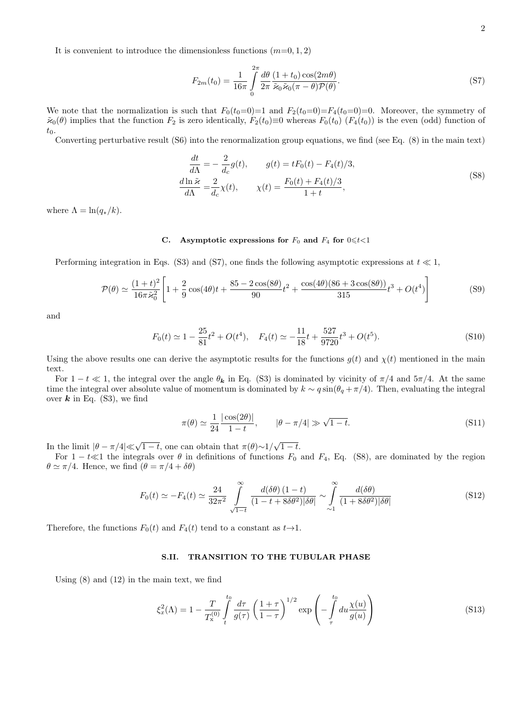It is convenient to introduce the dimensionless functions  $(m=0, 1, 2)$ 

$$
F_{2m}(t_0) = \frac{1}{16\pi} \int\limits_0^{2\pi} \frac{d\theta}{2\pi} \frac{(1+t_0)\cos(2m\theta)}{\tilde{\varkappa}_0 \tilde{\varkappa}_0 (\pi - \theta) \mathcal{P}(\theta)}.
$$
\n(S7)

We note that the normalization is such that  $F_0(t_0=0)=1$  and  $F_2(t_0=0)=F_4(t_0=0)=0$ . Moreover, the symmetry of  $\tilde{\varkappa}_0(\theta)$  implies that the function  $F_2$  is zero identically,  $F_2(t_0)\equiv 0$  whereas  $F_0(t_0)$   $(F_4(t_0))$  is the even (odd) function of  $t_0$ .

Converting perturbative result (S6) into the renormalization group equations, we find (see Eq. (8) in the main text)

$$
\frac{dt}{d\Lambda} = -\frac{2}{d_c}g(t), \qquad g(t) = tF_0(t) - F_4(t)/3,
$$
\n
$$
\frac{d\ln\tilde{\varkappa}}{d\Lambda} = \frac{2}{d_c}\chi(t), \qquad \chi(t) = \frac{F_0(t) + F_4(t)/3}{1+t},
$$
\n(S8)

where  $\Lambda = \ln(q_*/k)$ .

# C. Asymptotic expressions for  $F_0$  and  $F_4$  for  $0 \le t < 1$

Performing integration in Eqs. (S3) and (S7), one finds the following asymptotic expressions at  $t \ll 1$ ,

$$
\mathcal{P}(\theta) \simeq \frac{(1+t)^2}{16\pi \tilde{\varkappa}_0^2} \left[ 1 + \frac{2}{9} \cos(4\theta)t + \frac{85 - 2\cos(8\theta)}{90}t^2 + \frac{\cos(4\theta)(86 + 3\cos(8\theta))}{315}t^3 + O(t^4) \right]
$$
(S9)

and

$$
F_0(t) \simeq 1 - \frac{25}{81}t^2 + O(t^4), \quad F_4(t) \simeq -\frac{11}{18}t + \frac{527}{9720}t^3 + O(t^5). \tag{S10}
$$

Using the above results one can derive the asymptotic results for the functions  $g(t)$  and  $\chi(t)$  mentioned in the main text.

For  $1 - t \ll 1$ , the integral over the angle  $\theta_k$  in Eq. (S3) is dominated by vicinity of  $\pi/4$  and  $5\pi/4$ . At the same time the integral over absolute value of momentum is dominated by  $k \sim q \sin(\theta_q + \pi/4)$ . Then, evaluating the integral over  $k$  in Eq. (S3), we find

$$
\pi(\theta) \simeq \frac{1}{24} \frac{|\cos(2\theta)|}{1-t}, \qquad |\theta - \pi/4| \gg \sqrt{1-t}.
$$
\n(S11)

In the limit  $|\theta - \pi/4| \ll \sqrt{1-t}$ , one can obtain that  $\pi(\theta) \sim 1/\sqrt{1-t}$ .

For  $1 - t \ll 1$  the integrals over  $\theta$  in definitions of functions  $F_0$  and  $F_4$ , Eq. (S8), are dominated by the region  $\theta \simeq \pi/4$ . Hence, we find  $(\theta = \pi/4 + \delta\theta)$ 

$$
F_0(t) \simeq -F_4(t) \simeq \frac{24}{32\pi^2} \int_{\sqrt{1-t}}^{\infty} \frac{d(\delta\theta) (1-t)}{(1-t+8\delta\theta^2)|\delta\theta|} \sim \int_{\sim 1}^{\infty} \frac{d(\delta\theta)}{(1+8\delta\theta^2)|\delta\theta|}
$$
(S12)

Therefore, the functions  $F_0(t)$  and  $F_4(t)$  tend to a constant as  $t\rightarrow 1$ .

#### S.II. TRANSITION TO THE TUBULAR PHASE

Using (8) and (12) in the main text, we find

$$
\xi_x^2(\Lambda) = 1 - \frac{T}{T_x^{(0)}} \int_t^{t_0} \frac{d\tau}{g(\tau)} \left(\frac{1+\tau}{1-\tau}\right)^{1/2} \exp\left(-\int_\tau^{t_0} du \frac{\chi(u)}{g(u)}\right)
$$
(S13)